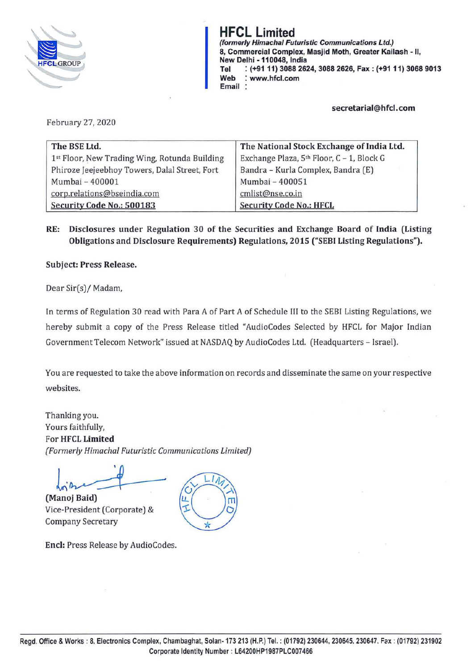

**HFCL Limited**  (formerly Himacha/ Futuristic Communications Ltd.) 8, Commercial Complex, Masjid Moth, Greater Kailash - II, New Delhi - **110048,** India **Tel** : **(+9111) 3088 2624, 3088 2626, Fax: (+9111) 3068 9013 Web** : **www.hfcl.com Email** :

### **secretarial@hfcl.com**

February 27, 2020

| The BSE Ltd.                                  | The National Stock Exchange of India Ltd. |
|-----------------------------------------------|-------------------------------------------|
| 1st Floor, New Trading Wing, Rotunda Building | Exchange Plaza, 5th Floor, C - 1, Block G |
| Phiroze Jeejeebhoy Towers, Dalal Street, Fort | Bandra - Kurla Complex, Bandra (E)        |
| Mumbai - 400001                               | Mumbai - 400051                           |
| corp.relations@bseindia.com                   | cmlist@nse.co.in                          |
| Security Code No.: 500183                     | <b>Security Code No.: HFCL</b>            |

**RE: Disclosures under Regulation 30 of the Securities and Exchange Board of India (Listing Obligations and Disclosure Requirements) Regulations, 2015 ("SEBI Listing Regulations").** 

**Subject: Press Release.** 

Dear Sir(s)/ Madam,

In terms of Regulation 30 read with Para A of Part A of Schedule III to the SEBI Listing Regulations, we hereby submit a copy of the Press Release titled "AudioCodes Selected by HFCL for Major Indian Government Telecom Network" issued at NASDAQ by AudioCodes Ltd. (Headquarters - Israel).

You are requested to take the above information on records and disseminate the same on your respective websites.

Thanking you. Yours faithfully, For **HFCL Limited**  *[Formerly Himachal Futuristic Communications limited)* 

l **(Manoj Baid)** 

Vice-President (Corporate) & Company Secretary



**Encl:** Press Release by AudioCodes.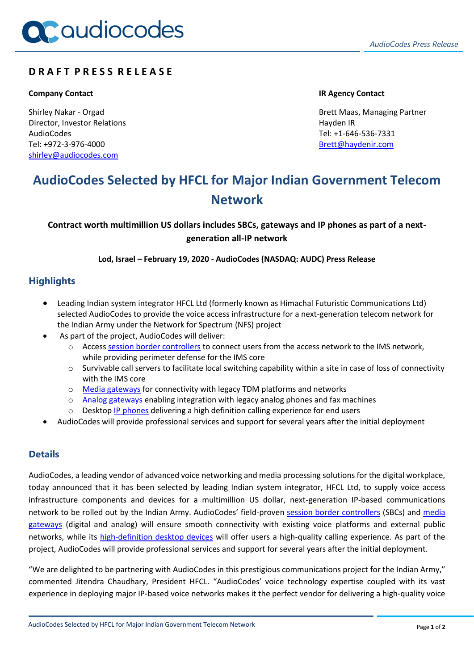# **D R A F T P R E S S R E L E A S E**

## **Company Contact IR Agency Contact**

Shirley Nakar - Orgad Director, Investor Relations AudioCodes Tel: +972-3-976-4000 [shirley@audiocodes.com](mailto:shirley@audiocodes.com)

Brett Maas, Managing Partner Hayden IR Tel: +1-646-536-7331 [Brett@haydenir.com](mailto:Brett@haydenir.com)

# **AudioCodes Selected by HFCL for Major Indian Government Telecom Network**

**Contract worth multimillion US dollars includes SBCs, gateways and IP phones as part of a nextgeneration all-IP network**

**Lod, Israel – February 19, 2020 - AudioCodes (NASDAQ: AUDC) Press Release**

## **Highlights**

- Leading Indian system integrator HFCL Ltd (formerly known as Himachal Futuristic Communications Ltd) selected AudioCodes to provide the voice access infrastructure for a next-generation telecom network for the Indian Army under the Network for Spectrum (NFS) project
- As part of the project, AudioCodes will deliver:
	- o Access [session border controllers](https://www.audiocodes.com/solutions-products/products/session-border-controllers-sbcs/) to connect users from the access network to the IMS network, while providing perimeter defense for the IMS core
	- $\circ$  Survivable call servers to facilitate local switching capability within a site in case of loss of connectivity with the IMS core
	- o [Media gateways](https://www.audiocodes.com/solutions-products/products/digital-and-analog-media-gateways/) for connectivity with legacy TDM platforms and networks
	- o [Analog gateways](https://www.audiocodes.com/solutions-products/products/digital-and-analog-media-gateways/mediapack-1xx/) enabling integration with legacy analog phones and fax machines
	- $\circ$  Desktop [IP phones](https://www.audiocodes.com/solutions-products/products/ip-phones/) delivering a high definition calling experience for end users
- AudioCodes will provide professional services and support for several years after the initial deployment

## **Details**

AudioCodes, a leading vendor of advanced voice networking and media processing solutions for the digital workplace, today announced that it has been selected by leading Indian system integrator, HFCL Ltd, to supply voice access infrastructure components and devices for a multimillion US dollar, next-generation IP-based communications network to be rolled out by the Indian Army. AudioCodes' field-proven [session border controllers](https://www.audiocodes.com/solutions-products/products/session-border-controllers-sbcs/) (SBCs) and [media](https://www.audiocodes.com/solutions-products/products/digital-and-analog-media-gateways/)  [gateways](https://www.audiocodes.com/solutions-products/products/digital-and-analog-media-gateways/) (digital and analog) will ensure smooth connectivity with existing voice platforms and external public networks, while its [high-definition desktop devices](https://www.audiocodes.com/solutions-products/products/ip-phones/) will offer users a high-quality calling experience. As part of the project, AudioCodes will provide professional services and support for several years after the initial deployment.

"We are delighted to be partnering with AudioCodes in this prestigious communications project for the Indian Army," commented Jitendra Chaudhary, President HFCL. "AudioCodes' voice technology expertise coupled with its vast experience in deploying major IP-based voice networks makes it the perfect vendor for delivering a high-quality voice